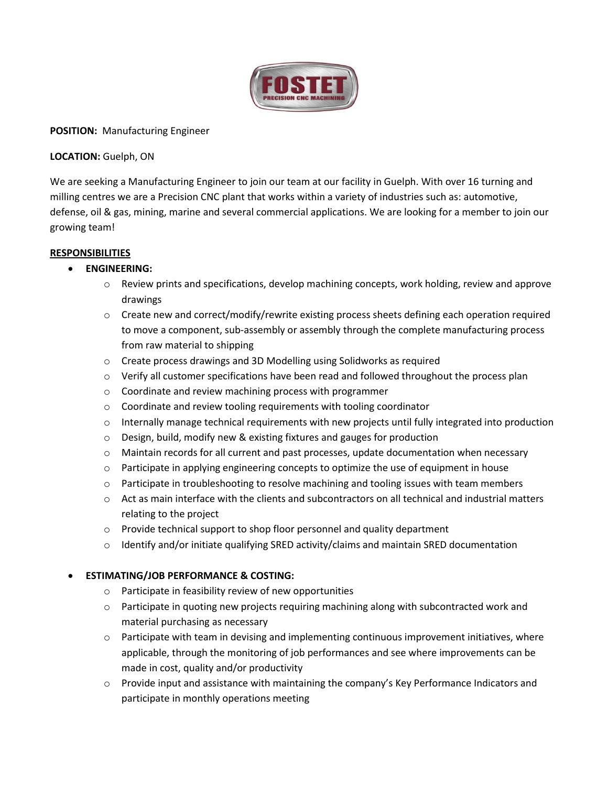

### **POSITION:** Manufacturing Engineer

### **LOCATION:** Guelph, ON

We are seeking a Manufacturing Engineer to join our team at our facility in Guelph. With over 16 turning and milling centres we are a Precision CNC plant that works within a variety of industries such as: automotive, defense, oil & gas, mining, marine and several commercial applications. We are looking for a member to join our growing team!

#### **RESPONSIBILITIES**

- **ENGINEERING:**
	- $\circ$  Review prints and specifications, develop machining concepts, work holding, review and approve drawings
	- o Create new and correct/modify/rewrite existing process sheets defining each operation required to move a component, sub-assembly or assembly through the complete manufacturing process from raw material to shipping
	- o Create process drawings and 3D Modelling using Solidworks as required
	- $\circ$  Verify all customer specifications have been read and followed throughout the process plan
	- o Coordinate and review machining process with programmer
	- o Coordinate and review tooling requirements with tooling coordinator
	- $\circ$  Internally manage technical requirements with new projects until fully integrated into production
	- o Design, build, modify new & existing fixtures and gauges for production
	- $\circ$  Maintain records for all current and past processes, update documentation when necessary
	- $\circ$  Participate in applying engineering concepts to optimize the use of equipment in house
	- $\circ$  Participate in troubleshooting to resolve machining and tooling issues with team members
	- $\circ$  Act as main interface with the clients and subcontractors on all technical and industrial matters relating to the project
	- o Provide technical support to shop floor personnel and quality department
	- $\circ$  Identify and/or initiate qualifying SRED activity/claims and maintain SRED documentation

# • **ESTIMATING/JOB PERFORMANCE & COSTING:**

- o Participate in feasibility review of new opportunities
- $\circ$  Participate in quoting new projects requiring machining along with subcontracted work and material purchasing as necessary
- $\circ$  Participate with team in devising and implementing continuous improvement initiatives, where applicable, through the monitoring of job performances and see where improvements can be made in cost, quality and/or productivity
- $\circ$  Provide input and assistance with maintaining the company's Key Performance Indicators and participate in monthly operations meeting